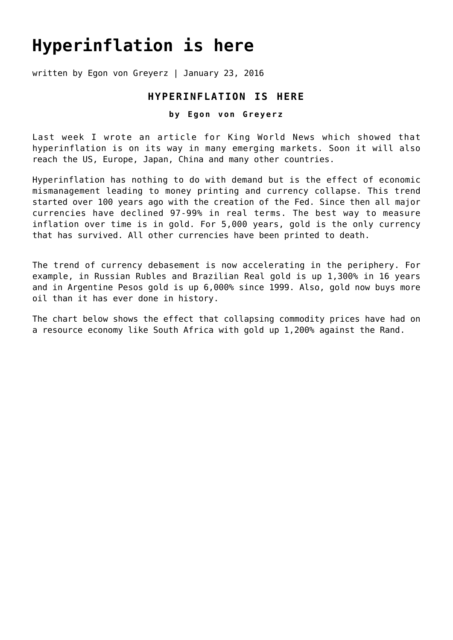## **[Hyperinflation is here](https://goldswitzerland.com/hyperinflation-is-here/)**

written by Egon von Greyerz | January 23, 2016

## **HYPERINFLATION IS HERE**

## **by Egon von Greyerz**

Last week I wrote an article for King World News which showed that hyperinflation is on its way in many emerging markets. Soon it will also reach the US, Europe, Japan, China and many other countries.

Hyperinflation has nothing to do with demand but is the effect of economic mismanagement leading to money printing and currency collapse. This trend started over 100 years ago with the creation of the Fed. Since then all major currencies have declined 97-99% in real terms. The best way to measure inflation over time is in gold. For 5,000 years, gold is the only currency that has survived. All other currencies have been printed to death.

The trend of currency debasement is now accelerating in the periphery. For example, in Russian Rubles and Brazilian Real gold is up 1,300% in 16 years and in Argentine Pesos gold is up 6,000% since 1999. Also, gold now buys more oil than it has ever done in history.

The chart below shows the effect that collapsing commodity prices have had on a resource economy like South Africa with gold up 1,200% against the Rand.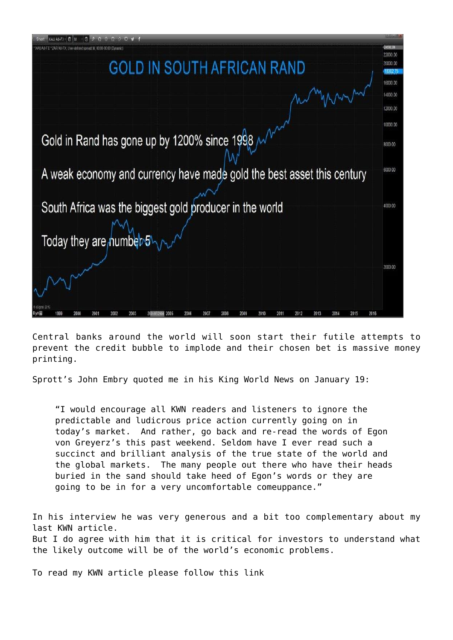

Central banks around the world will soon start their futile attempts to prevent the credit bubble to implode and their chosen bet is massive money printing.

Sprott's John Embry quoted me in his [King World News on January 19:](http://kingworldnews.com/the-collapse-is-intensifying-and-something-terrifying-is-on-the-horizon/)

"I would encourage all KWN readers and listeners to ignore the predictable and ludicrous price action currently going on in today's market. And rather, go back and re-read the words of Egon von Greyerz's this past weekend. Seldom have I ever read such a succinct and brilliant analysis of the true state of the world and the global markets. The many people out there who have their heads buried in the sand should take heed of Egon's words or they are going to be in for a very uncomfortable comeuppance."

In his interview he was very generous and a bit too complementary about my last KWN article. But I do agree with him that it is critical for investors to understand what the likely outcome will be of the world's economic problems.

[To read my KWN article please follow this link](http://kingworldnews.com/alert-legend-warns-this-will-be-the-worst-crisis-the-world-has-ever-experienced/)